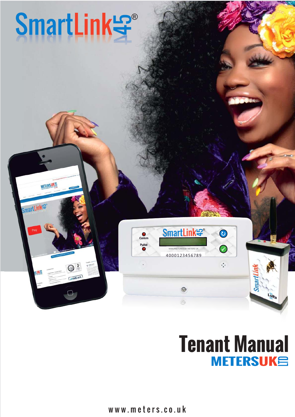# **SmartLinkg®**

METERSUKE

**WIDAS** 

SmartLink<sup>42</sup>



 $\bigodot$ 

 $\odot$ 

 $\ddot{\cdot}$ 

nartLi

LoRa

w w w . m e t e r s . c o . u k

 $\frac{\bullet}{\text{Comm}}$ Pulse

 $\bullet$ 

MANUFACTURED BY METERS UK 4 0 0 0 12 3 4 5 6 7 89

 $\circledcirc$ 

**SmartLink**떀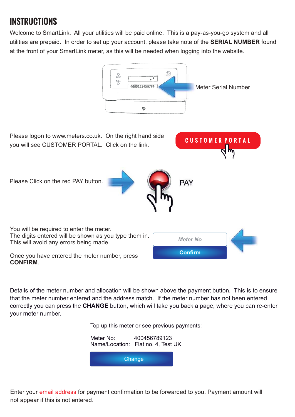## **INSTRUCTIONS**

Welcome to SmartLink. All your utilities will be paid online. This is a pay-as-you-go system and all utilities are prepaid. In order to set up your account, please take note of the **SERIAL NUMBER** found at the front of your SmartLink meter, as this will be needed when logging into the website.



Details of the meter number and allocation will be shown above the payment button. This is to ensure that the meter number entered and the address match. If the meter number has not been entered correctly you can press the **CHANGE** button, which will take you back a page, where you can re-enter your meter number.

Top up this meter or see previous payments:

Meter No: 400456789123 Name/Location: Flat no. 4, Test UK **Change** Change

Enter your email address for payment confirmation to be forwarded to you. Payment amount will not appear if this is not entered.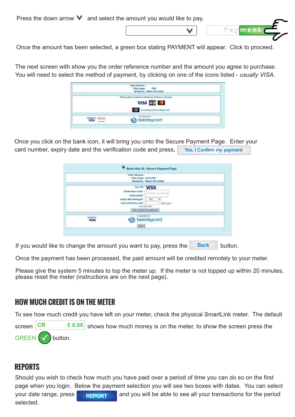Press the down arrow  $\blacktriangledown$  and select the amount you would like to pay.



Once the amount has been selected, a green box stating PAYMENT will appear. Click to proceed.

The next screen with show you the order reference number and the amount you agree to purchase. You will need to select the method of payment, by clicking on one of the icons listed - *usually VISA.* 

| Order reference :<br>GBP<br>Total charge:               |  |
|---------------------------------------------------------|--|
| Beneficiary : Meters UK Limited                         |  |
| Please select a payment method by clicking on the logo. |  |
| <b>VISA <b>SEE</b></b>                                  |  |
|                                                         |  |
| Can Factually pay with my Maestro card?                 |  |
|                                                         |  |
| <b>POWERED BY</b><br>barclaycard                        |  |

Once you click on the bank icon, it will bring you onto the Secure Payment Page. Enter your card number, expiry date and the verification code and press, **Yes, I Confirm my payment**

|             | Order reference :                                  |  |
|-------------|----------------------------------------------------|--|
|             | Total charge: 20.00 GBP                            |  |
|             | Beneficiary : Meters UK Limited                    |  |
|             | Pay with : VISA                                    |  |
|             | Cardholder's name":                                |  |
|             | Card number":                                      |  |
|             | $\vee$<br>Expiry date (mm/yyyy)" :<br>$\checkmark$ |  |
|             | Card verification code":<br>What is this?          |  |
|             | * Mandatory fields                                 |  |
|             | Yes, I confern my payment                          |  |
| Verified by | <b>POWERED BY</b>                                  |  |
| <b>VISA</b> | barclaycard                                        |  |
|             |                                                    |  |
|             | Back                                               |  |

If you would like to change the amount you want to pay, press the  $\blacksquare$  Back button. **Back**

Once the payment has been processed, the paid amount will be credited remotely to your meter.

Please give the system 5 minutes to top the meter up. If the meter is not topped up within 20 minutes, please reset the meter (instructions are on the next page).

#### **HOW MUCH CREDIT IS ON THE METER**

To see how much credit you have left on your meter, check the physical SmartLink meter. The default

screen shows how much money is on the meter, to show the screen press the  $GREEN$   $\checkmark$  button. **CR £ 0.00**

### **REPORTS**

Should you wish to check how much you have paid over a period of time you can do so on the first page when you login. Below the payment selection you will see two boxes with dates. You can select your date range, press **a**  $R = 2$  and you will be able to see all your transactions for the period selected. **REPORT**